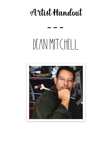# Artist Handout

# DEAN MITCHELL

---

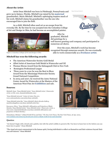# **About the Artist**:

Artist Dean Mitchell was born in Pittsburgh, Pennsylvania and grew up in Quincy, Florida. Mitchell was raised by his **maternal** grandmother, Marie Mitchell. Mitchell's upbringing inspires much of his work; Mitchell claims his grandmother was the one who encouraged him to join the field.

As a child, Mitchell often used art as an escape from his everyday life. By the time he was accepted into the Columbus College of Art and Design in Ohio, he had become an accomplished painter.



*Figure 1 Columbus College of Art and Design in Ohio*

# **Mitchell has won the following awards**:

- The American Watercolor Society Gold Medal
- Allied Artist of American Gold Medal in Watercolor and Oil
- Thomas Moran Award from the Salmagundi Club in New York
- Remington Professional League
- Three years in a row he won the Best in Show Award from the Mississippi Watercolor Society Grand National Competition.
- In 2004 and 2007, he received the Autry National Center Award for Watercolor at the Masters of the American West Fine Art **Exhibition** and sale.

## **Sources**:

Mitchell, Dean. "Dean Mitchell Artist." *Dean Mitchell Artist | Watercolor Artist*, 12 Feb. 2021, deanmitchellstudio.com/.

"Dean Mitchell Artwork." *Cutter & Cutter Fine Art*, www.cutterandcutter.com/artist/dean-mitchell/.

"Dean Mitchell Artist Bio." *Dean Mitchell's Marie Brooks Gallery*, mariebrooksgallery.com/dean-mitchell-artist-bio/.

Enwonwu, Oliver. "Dean Mitchell's Affirmation and Projection of Black Identity: Dean Mitchell Artist." *Dean Mitchell Artist | Watercolor Artist*, 4 June 2020, deanmitchellstudio.com/dean-mitchells-affirmation-andprojection-of-black-identity/.

Map of Quincy Florida FL



graduated, Mitchell did paintings for a well-known greeting card company and participated in numerous art shows.

After he

Over the years, Mitchell's work has become recognized through numerous awards. He was eventually able to work commercially as a **freelance artist**.



*Figure 2 PHOTO COURTESY OF CUTTER & CUTTER FINE ART*

Kimmelman, Michael. "A Black World Of Ins and Outs." *The New York Times*, The New York Times, 26 Apr. 2002, [www.nytimes.com/2002/04/26/arts/art-review-a-black-world-of-ins-and-outs.html.](http://www.nytimes.com/2002/04/26/arts/art-review-a-black-world-of-ins-and-outs.html)

#### **Quotes**:

"Art doesn't begin with a brush and a palette, but with the artist's ability to perceive life. You have to learn how to live before you can learn how to paint."-Dean Mitchell

"The visual arts must communicate to the human spirit, forcing individuals to reflect on themselves and their existence beyond their own self-interest."-Dean Mitchell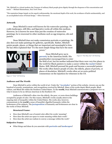"Mr. Mitchell is a virtual modern-day Vermeer of ordinary black people given dignity through the eloquence of his concentration and touch." —Michael Kimmelman, *New York Times*

"His reputation hinges largely on his superb craftsmanship, the emotional depth of his work, his avoidance of facile sentimentality, and an accomplished sense of formal design."- Oliver Enwonwu

#### **Artwork**:

Dean Mitchell is most well-known for his watercolor paintings. He crafts landscapes, still-lifes, and figurative works all within this medium. However, he is known for more than just the creation of watercolor paintings; he is renowned in other mediums such as egg temperas, oils and pastels.

Dean Mitchell does not make commission portraits or paintings. He also does not make paintings for galleries, specifically. Rather, Mitchell paints people, places, or things that are important and meaningful to him. He has often explained that "it's the most simple things that have the most



power."

Dean Mitchell grew up in **poverty** in the American South. His grandmother encouraged him to enter



*Figure 4 "No Way Out" Oil Painting*

the field of art, but his mother indicated that there were very few places in the world for Black painters to make a career within the **racist** United States. Still, Mitchell pursued his goals and became a successful painter. His works often feature people of color, the elderly, places of poverty, or places of desolation. Mitchell's works often act as socio-political commentary on the injustices he witnesses in the US.

*Figure 3 "Vote" Oil Painting*

#### **Audience and The World:**

Dean Mitchell is active within the world of art. Under the "**Accolades**" section of his website, viewers can see the hundred of awards, nominations, and recognitions received by Mitchell. Many of his works depict Black people, Black culture, and Black life within the Southern United States. To the **world,** Dean Mitchell communicates a poignant view on what it means to be an African American in the Southern US.

Audiences of Mitchell's often view the elderly, the poor, or worn-down buildings occupied by people of color. For this reason, Mitchell's works usually attest to the ongoing state of inequality within the United States. His works also, however, communicate to the **world** a sense of beautiful, dignified humanity within the brokenness of his subjects. The **juxtaposition** of humanity and brokenness are clear in the works of Dean Mitchell.

#### **Structural Frame:**

- How does Mitchell's use of muted color affect his works' meaning?
- How does the artist use space to create meaning within their work?
- How does the artist use realism to convey a message within the work?

#### **Subjective Frame:**

● What things and ideas do you associate with **portraits** and **landscapes**?

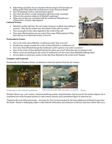- What things and ideas do you associate with the images of homes that are falling apart? What about the **architecture** in the American South?
- How do paintings work as communicative pieces?
- How does the artist's overall composition effect his works' meaning?
- What are the common **subjects** of Mitchell's paintings?
- What sorts of ideas are associated with the **mediums** Mitchell uses? (Watercolors, oil paint, egg tempura)

# **Cultural Frame:**

- Mitchell's mother told him "He can't make a living as no Black man selling no pictures". Why did his mother have this belief? Is this still true today?
- How are people of color often depicted in the world of fine art?
- How many Black painters can you name? How many White painters? What does that say to us about the society we live in?

# **Postmodern Frame:**

- How is the artist, Dean Mitchell, a traditional artist? How is he not?
- Would many people consider the works of Dean Mitchell as 'traditional' art?
- How does Dean Mitchell disrupt the traditional world's opinion of an artist or painter?
- How do the works of Dean Mitchell disrupt the status quo of art? What does his art attempt to do?
- Whose voices are privileged in the works of 'traditional' art? How does Dean Mitchell Challenge that?
- Do you think we need more artists of color like Dean Mitchell in the world of art? Explain.

# **Compare and Contrast:**

Examine the art of Winslow Homer, an American watercolor painter from the 19<sup>th</sup> century.





*6 "Dressing For The Carnival" By Winslow Homer 5Salt Kettle, Bermuda, 1899, watercolor over graphite*

Winslow Homer was a 19<sup>th</sup> century, American landscape painter and printmaker, best known for his marine subjects. He is considered one of the foremost painters in 19th century America and a preeminent figure in American art.

"Painted at the end of Reconstruction— *Dressing For The Carnival* marked by the final withdrawal of federal troops from the South—Homer's challenging subject evokes both the dislocation and endurance of African American culture that was a